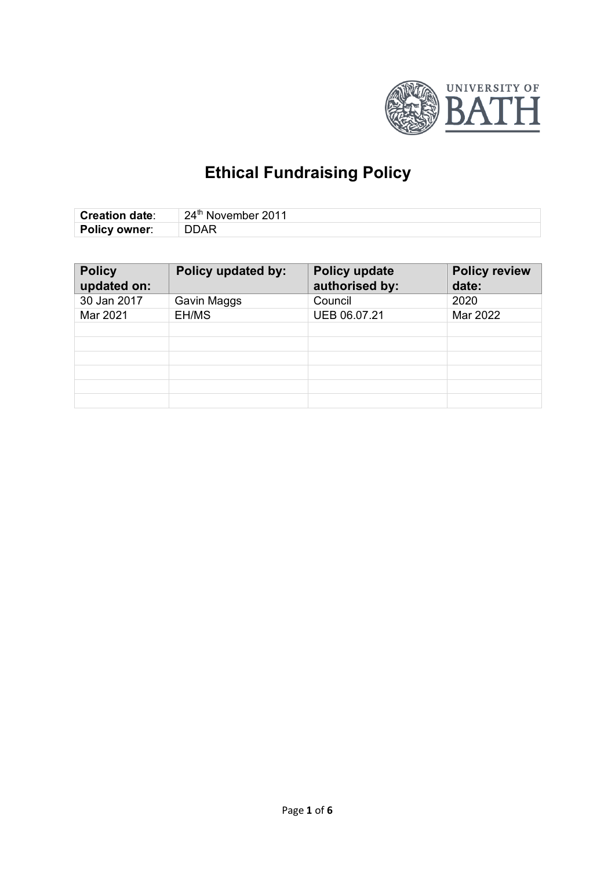

# **Ethical Fundraising Policy**

| <b>Creation date:</b> | $\vert$ 24 <sup>th</sup> November 2011 |
|-----------------------|----------------------------------------|
| <b>Policy owner:</b>  | <b>DDAR</b>                            |

| <b>Policy</b><br>updated on: | Policy updated by: | Policy update<br>authorised by: | <b>Policy review</b><br>date: |
|------------------------------|--------------------|---------------------------------|-------------------------------|
| 30 Jan 2017                  | Gavin Maggs        | Council                         | 2020                          |
| Mar 2021                     | EH/MS              | UEB 06.07.21                    | Mar 2022                      |
|                              |                    |                                 |                               |
|                              |                    |                                 |                               |
|                              |                    |                                 |                               |
|                              |                    |                                 |                               |
|                              |                    |                                 |                               |
|                              |                    |                                 |                               |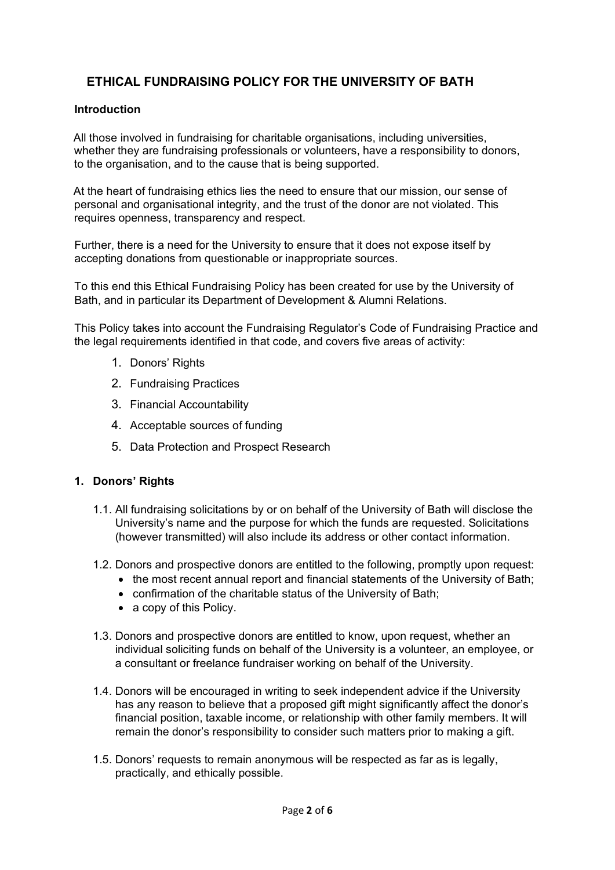## **ETHICAL FUNDRAISING POLICY FOR THE UNIVERSITY OF BATH**

## **Introduction**

All those involved in fundraising for charitable organisations, including universities, whether they are fundraising professionals or volunteers, have a responsibility to donors, to the organisation, and to the cause that is being supported.

At the heart of fundraising ethics lies the need to ensure that our mission, our sense of personal and organisational integrity, and the trust of the donor are not violated. This requires openness, transparency and respect.

Further, there is a need for the University to ensure that it does not expose itself by accepting donations from questionable or inappropriate sources.

To this end this Ethical Fundraising Policy has been created for use by the University of Bath, and in particular its Department of Development & Alumni Relations.

This Policy takes into account the Fundraising Regulator's Code of Fundraising Practice and the legal requirements identified in that code, and covers five areas of activity:

- 1. Donors' Rights
- 2. Fundraising Practices
- 3. Financial Accountability
- 4. Acceptable sources of funding
- 5. Data Protection and Prospect Research

## **1. Donors' Rights**

- 1.1. All fundraising solicitations by or on behalf of the University of Bath will disclose the University's name and the purpose for which the funds are requested. Solicitations (however transmitted) will also include its address or other contact information.
- 1.2. Donors and prospective donors are entitled to the following, promptly upon request:
	- the most recent annual report and financial statements of the University of Bath;
	- confirmation of the charitable status of the University of Bath;
	- a copy of this Policy.
- 1.3. Donors and prospective donors are entitled to know, upon request, whether an individual soliciting funds on behalf of the University is a volunteer, an employee, or a consultant or freelance fundraiser working on behalf of the University.
- 1.4. Donors will be encouraged in writing to seek independent advice if the University has any reason to believe that a proposed gift might significantly affect the donor's financial position, taxable income, or relationship with other family members. It will remain the donor's responsibility to consider such matters prior to making a gift.
- 1.5. Donors' requests to remain anonymous will be respected as far as is legally, practically, and ethically possible.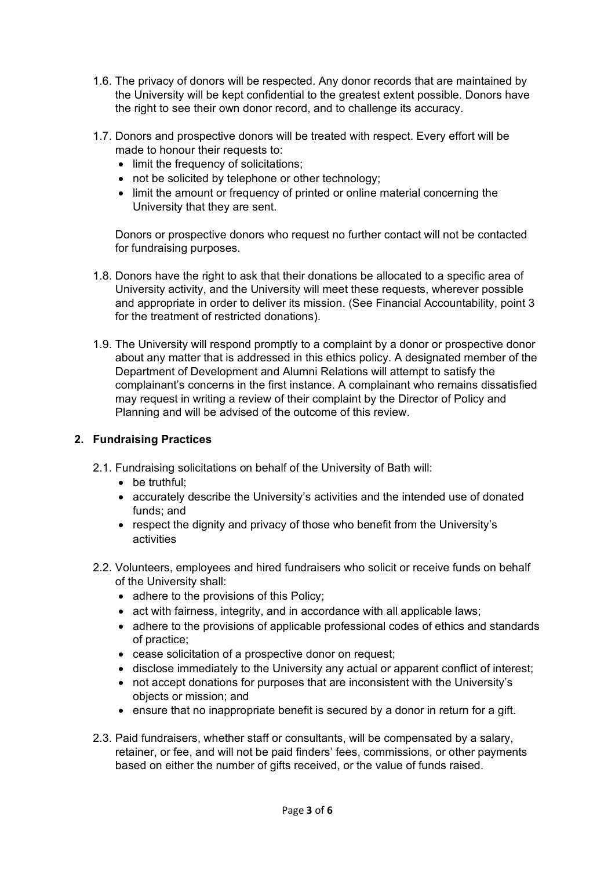- 1.6. The privacy of donors will be respected. Any donor records that are maintained by the University will be kept confidential to the greatest extent possible. Donors have the right to see their own donor record, and to challenge its accuracy.
- 1.7. Donors and prospective donors will be treated with respect. Every effort will be made to honour their requests to:
	- limit the frequency of solicitations;
	- not be solicited by telephone or other technology;
	- limit the amount or frequency of printed or online material concerning the University that they are sent.

Donors or prospective donors who request no further contact will not be contacted for fundraising purposes.

- 1.8. Donors have the right to ask that their donations be allocated to a specific area of University activity, and the University will meet these requests, wherever possible and appropriate in order to deliver its mission. (See Financial Accountability, point 3 for the treatment of restricted donations).
- 1.9. The University will respond promptly to a complaint by a donor or prospective donor about any matter that is addressed in this ethics policy. A designated member of the Department of Development and Alumni Relations will attempt to satisfy the complainant's concerns in the first instance. A complainant who remains dissatisfied may request in writing a review of their complaint by the Director of Policy and Planning and will be advised of the outcome of this review.

## **2. Fundraising Practices**

- 2.1. Fundraising solicitations on behalf of the University of Bath will:
	- be truthful;
	- accurately describe the University's activities and the intended use of donated funds; and
	- respect the dignity and privacy of those who benefit from the University's activities
- 2.2. Volunteers, employees and hired fundraisers who solicit or receive funds on behalf of the University shall:
	- adhere to the provisions of this Policy;
	- act with fairness, integrity, and in accordance with all applicable laws;
	- adhere to the provisions of applicable professional codes of ethics and standards of practice;
	- cease solicitation of a prospective donor on request;
	- disclose immediately to the University any actual or apparent conflict of interest;
	- not accept donations for purposes that are inconsistent with the University's objects or mission; and
	- ensure that no inappropriate benefit is secured by a donor in return for a gift.
- 2.3. Paid fundraisers, whether staff or consultants, will be compensated by a salary, retainer, or fee, and will not be paid finders' fees, commissions, or other payments based on either the number of gifts received, or the value of funds raised.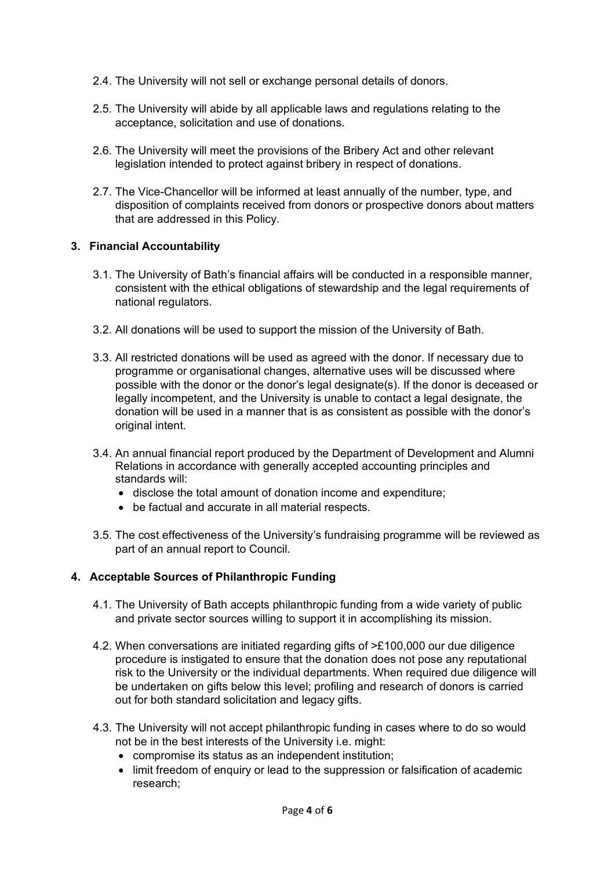- 2.4. The University will not sell or exchange personal details of donors.
- 2.5. The University will abide by all applicable laws and regulations relating to the acceptance, solicitation and use of donations.
- 2.6. The University will meet the provisions of the Bribery Act and other relevant legislation intended to protect against bribery in respect of donations.
- 2.7. The Vice-Chancellor will be informed at least annually of the number, type, and disposition of complaints received from donors or prospective donors about matters that are addressed in this Policy.

## **3. Financial Accountability**

- 3.1. The University of Bath's financial affairs will be conducted in a responsible manner, consistent with the ethical obligations of stewardship and the legal requirements of national regulators.
- 3.2. All donations will be used to support the mission of the University of Bath.
- 3.3. All restricted donations will be used as agreed with the donor. If necessary due to programme or organisational changes, alternative uses will be discussed where possible with the donor or the donor's legal designate(s). If the donor is deceased or legally incompetent, and the University is unable to contact a legal designate, the donation will be used in a manner that is as consistent as possible with the donor's original intent.
- 3.4. An annual financial report produced by the Department of Development and Alumni Relations in accordance with generally accepted accounting principles and standards will:
	- disclose the total amount of donation income and expenditure;
	- be factual and accurate in all material respects.
- 3.5. The cost effectiveness of the University's fundraising programme will be reviewed as part of an annual report to Council.

## **4. Acceptable Sources of Philanthropic Funding**

- 4.1. The University of Bath accepts philanthropic funding from a wide variety of public and private sector sources willing to support it in accomplishing its mission.
- 4.2. When conversations are initiated regarding gifts of >£100,000 our due diligence procedure is instigated to ensure that the donation does not pose any reputational risk to the University or the individual departments. When required due diligence will be undertaken on gifts below this level; profiling and research of donors is carried out for both standard solicitation and legacy gifts.
- 4.3. The University will not accept philanthropic funding in cases where to do so would not be in the best interests of the University i.e. might:
	- compromise its status as an independent institution;
	- limit freedom of enquiry or lead to the suppression or falsification of academic research;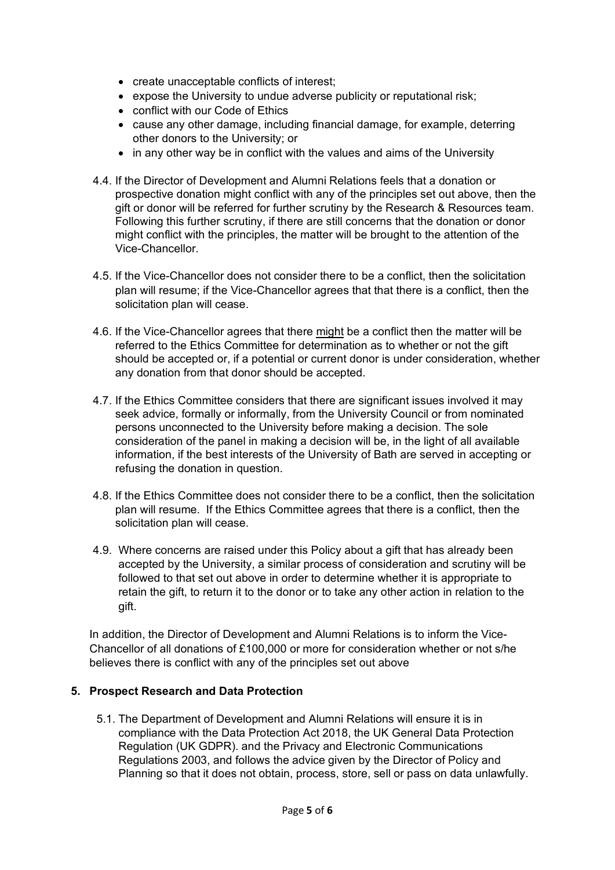- create unacceptable conflicts of interest;
- expose the University to undue adverse publicity or reputational risk;
- conflict with our Code of Ethics
- cause any other damage, including financial damage, for example, deterring other donors to the University; or
- in any other way be in conflict with the values and aims of the University
- 4.4. If the Director of Development and Alumni Relations feels that a donation or prospective donation might conflict with any of the principles set out above, then the gift or donor will be referred for further scrutiny by the Research & Resources team. Following this further scrutiny, if there are still concerns that the donation or donor might conflict with the principles, the matter will be brought to the attention of the Vice-Chancellor.
- 4.5. If the Vice-Chancellor does not consider there to be a conflict, then the solicitation plan will resume; if the Vice-Chancellor agrees that that there is a conflict, then the solicitation plan will cease.
- 4.6. If the Vice-Chancellor agrees that there might be a conflict then the matter will be referred to the Ethics Committee for determination as to whether or not the gift should be accepted or, if a potential or current donor is under consideration, whether any donation from that donor should be accepted.
- 4.7. If the Ethics Committee considers that there are significant issues involved it may seek advice, formally or informally, from the University Council or from nominated persons unconnected to the University before making a decision. The sole consideration of the panel in making a decision will be, in the light of all available information, if the best interests of the University of Bath are served in accepting or refusing the donation in question.
- 4.8. If the Ethics Committee does not consider there to be a conflict, then the solicitation plan will resume. If the Ethics Committee agrees that there is a conflict, then the solicitation plan will cease.
- 4.9. Where concerns are raised under this Policy about a gift that has already been accepted by the University, a similar process of consideration and scrutiny will be followed to that set out above in order to determine whether it is appropriate to retain the gift, to return it to the donor or to take any other action in relation to the gift.

In addition, the Director of Development and Alumni Relations is to inform the Vice-Chancellor of all donations of £100,000 or more for consideration whether or not s/he believes there is conflict with any of the principles set out above

## **5. Prospect Research and Data Protection**

5.1. The Department of Development and Alumni Relations will ensure it is in compliance with the Data Protection Act 2018, the UK General Data Protection Regulation (UK GDPR). and the Privacy and Electronic Communications Regulations 2003, and follows the advice given by the Director of Policy and Planning so that it does not obtain, process, store, sell or pass on data unlawfully.